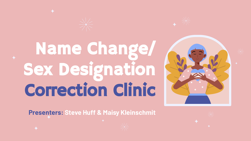# Name Change/ Sex Designation Correction Clinic



**Presenters: Steve Huff & Maisy Kleinschmit**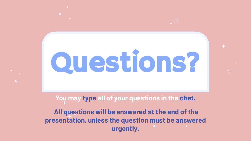# Questions?

**You may type all of your questions in the chat.**

**All questions will be answered at the end of the presentation, unless the question must be answered urgently.**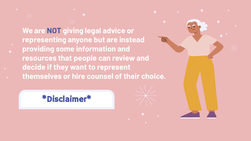**We are NOT giving legal advice or representing anyone but are instead providing some information and resources that people can review and decide if they want to represent themselves or hire counsel of their choice.**

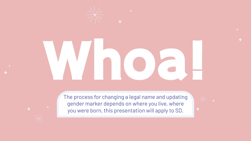

# Whoa!

The process for changing a legal name and updating gender marker depends on where you live, where you were born, this presentation will apply to SD.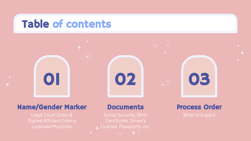### Table of contents



#### Name/Gender Marker

#### **Documents**

Certificate, Driver's

Process Order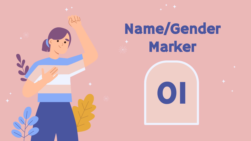

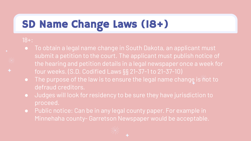## SD Name Change Laws (18+)

#### 18+:

- **●** To obtain a legal name change in South Dakota, an applicant must submit a petition to the court. The applicant must publish notice of the hearing and petition details in a legal newspaper once a week for four weeks. (S.D. Codified Laws §§ 21-37-1 to 21-37-10)
- **•** The purpose of the law is to ensure the legal name change is not to defraud creditors.
- **●** Judges will look for residency to be sure they have jurisdiction to proceed.
- **●** Public notice: Can be in any legal county paper. For example in Minnehaha county- Garretson Newspaper would be acceptable.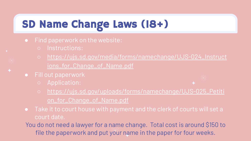## SD Name Change Laws (18+)

- **●** Find paperwork on the website:
	- Instructions:
	- [https://ujs.sd.gov/media/forms/namechange/UJS-024\\_Instruct](https://ujs.sd.gov/media/forms/namechange/UJS-024_Instructions_for_Change_of_Name.pdf) [ions\\_for\\_Change\\_of\\_Name.pdf](https://ujs.sd.gov/media/forms/namechange/UJS-024_Instructions_for_Change_of_Name.pdf)
- **●** Fill out paperwork
	- Application:
- 
- [https://ujs.sd.gov/uploads/forms/namechange/UJS-025\\_Petiti](https://ujs.sd.gov/uploads/forms/namechange/UJS-025_Petition_for_Change_of_Name.pdf) [on\\_for\\_Change\\_of\\_Name.pdf](https://ujs.sd.gov/uploads/forms/namechange/UJS-025_Petition_for_Change_of_Name.pdf)
- **●** Take it to court house with payment and the clerk of courts will set a court date.
- You do not need a lawyer for a name change. Total cost is around \$150 to file the paperwork and put your name in the paper for four weeks.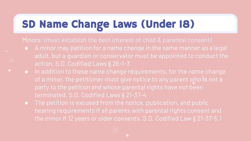## SD Name Change Laws (Under 18)

Minors: (must establish the best interest of child & parental consent)

- **●** A minor may petition for a name change in the same manner as a legal adult, but a guardian or conservator must be appointed to conduct the action. S.D. Codified Laws § 26-1-3
- **●** In addition to these name change requirements, for the name change of a minor, the petitioner must give notice to any parent who is not a party to the petition and whose parental rights have not been terminated. S.D. Codified Laws § 21-37-4
- **●** The petition is excused from the notice, publication, and public hearing requirements if all parents with parental rights consent and the minor if 12 years or older consents. S.D. Codified Law § 21-37-5.1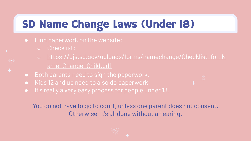## SD Name Change Laws (Under 18)

- **●** Find paperwork on the website:
	- Checklist:
	- [https://ujs.sd.gov/uploads/forms/namechange/Checklist\\_for\\_N](https://ujs.sd.gov/uploads/forms/namechange/Checklist_for_Name_Change_Child.pdf) [ame\\_Change\\_Child.pdf](https://ujs.sd.gov/uploads/forms/namechange/Checklist_for_Name_Change_Child.pdf)
- **●** Both parents need to sign the paperwork,
- **●** Kids 12 and up need to also do paperwork.
- **●** It's really a very easy process for people under 18.

You do not have to go to court, unless one parent does not consent. Otherwise, it's all done without a hearing.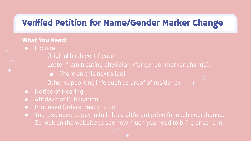#### Verified Petition for Name/Gender Marker Change

#### **What You Need:**

- Include-
	- Original birth certificate
	- Letter from treating physician, (for gender marker change).
		- (More on this next slide)
	- Other supporting info such as proof of residency
- **●** Notice of Hearing
- **●** Affidavit of Publication
- **●** Proposed Orders, ready to go
- **●** You also need to pay in full. It's a different price for each courthouse. So look on the website to see how much you need to bring or send in.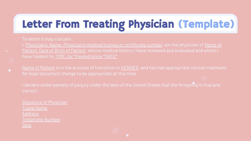## Letter From Treating Physician (Template)

To whom it may concern:

I, Physician's Name, Physician's medical license or certificate number, am the physician of Name of Patient, Date of Birth of Patient, whose medical history I have reviewed and evaluated and whom I have treated for TIME. (or "treated since \*DATE\*

Name of Patient is in the process of transition to GENDER, and has had appropriate clinical treatment for legal document change to be appropriate at this time.

I declare under penalty of perjury under the laws of the United States that the foregoing is true and

Signature of Physician Typed Name **Address** Telephone Number Date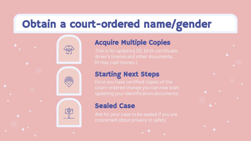## Obtain a court-ordered name/gender

#### Acquire Multiple Copies

driver's license and other documents.

#### Starting Next Steps

#### Sealed Case

 $\frac{1}{2}$ 

Ask for your case to be sealed if you are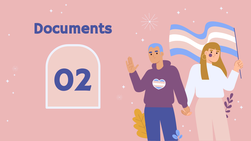## **Documents**



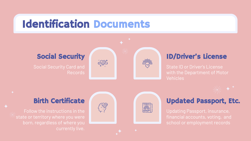## Identification Documents

#### Social Security

Records





#### ID/Driver's License

State ID or Driver's License Vehicles



#### Birth Certificate





#### Updated Passport, Etc.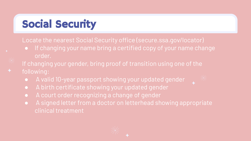## Social Security

Locate the nearest Social Security office (secure.ssa.gov/locator)

- **●** If changing your name bring a certified copy of your name change order.
- If changing your gender, bring proof of transition using one of the following:
	- **●** A valid 10-year passport showing your updated gender
	- **●** A birth certificate showing your updated gender
	- **●** A court order recognizing a change of gender
	- **●** A signed letter from a doctor on letterhead showing appropriate clinical treatment



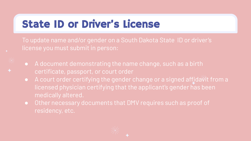## State ID or Driver's License

To update name and/or gender on a South Dakota State ID or driver's license you must submit in person:

- **●** A document demonstrating the name change, such as a birth certificate, passport, or court order
- **•** A court order certifying the gender change or a signed affidavit from a licensed physician certifying that the applicant's gender has been medically altered.
- **●** Other necessary documents that DMV requires such as proof of residency, etc.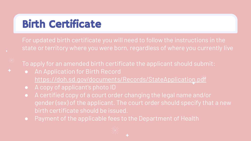## Birth Certificate

For updated birth certificate you will need to follow the instructions in the state or territory where you were born, regardless of where you currently live

To apply for an amended birth certificate the applicant should submit:

- **●** An Application for Birth Record <https://doh.sd.gov/documents/Records/StateApplication.pdf>
- **●** A copy of applicant's photo ID
- **●** A certified copy of a court order changing the legal name and/or gender (sex) of the applicant. The court order should specify that a new birth certificate should be issued.
- **●** Payment of the applicable fees to the Department of Health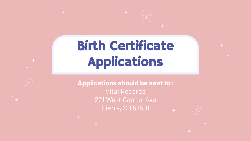## Birth Certificate Applications

**Applications should be sent to:** Vital Records 221 West Capitol Ave Pierre, SD 57501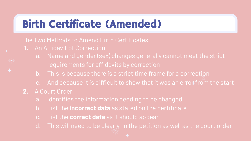## Birth Certificate (Amended)

#### The Two Methods to Amend Birth Certificates

- **1.** An Affidavit of Correction
	- a. Name and gender (sex) changes generally cannot meet the strict requirements for affidavits by correction
	- b. This is because there is a strict time frame for a correction
	- c. And because it is difficult to show that it was an erron from the start
- **2.** A Court Order
	- a. Identifies the information needing to be changed
	- b. List the **incorrect data** as stated on the certificate
	- c. List the **correct data** as it should appear
	- d. This will need to be clearly in the petition as well as the court order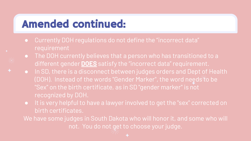## Amended continued:

- **●** Currently DOH regulations do not define the "incorrect data" requirement
- **●** The DOH currently believes that a person who has transitioned to a different gender **DOES** satisfy the "incorrect data" requirement.
- **●** In SD, there is a disconnect between judges orders and Dept of Health (DOH). Instead of the words "Gender Marker", the word needs to be "Sex" on the birth certificate, as in SD "gender marker" is not recognized by DOH.
- **●** It is very helpful to have a lawyer involved to get the "sex" corrected on birth certificates.

We have some judges in South Dakota who will honor it, and some who will not. You do not get to choose your judge.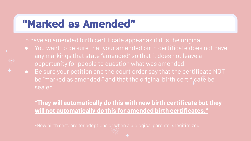## "Marked as Amended"

To have an amended birth certificate appear as if it is the original

- **●** You want to be sure that your amended birth certificate does not have any markings that state "amended" so that it does not leave a opportunity for people to question what was amended.
- **●** Be sure your petition and the court order say that the certificate NOT be "marked as amended," and that the original birth certificate be sealed.

**\*They will automatically do this with new birth certificate but they will not automatically do this for amended birth certificates.\***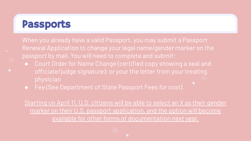## Passports

When you already have a valid Passport, you may submit a Passport Renewal Application to change your legal name/gender marker on the passport by mail. You will need to complete and submit:

- **●** Court Order for Name Change (certified copy showing a seal and officiate/judge signature); or your the letter from your treating physician
- **●** Fee (See Department of State Passport Fees for cost).

Starting on April 11, U.S. citizens will be able to select an X as their gender marker on their U.S. passport application, and the option will become available for other forms of documentation next year.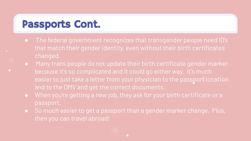## Passports Cont.

- **●** The federal government recognizes that transgender people need ID's that match their gender identity, even without their birth certificates changed.
- **●** Many trans people do not update their birth certificate gender marker because it's so complicated and it could go either way. It's much easier to just take a letter from your physician to the passport location and to the DMV and get the correct documents.
- **●** When you're getting a new job, they ask for your birth certificate or a passport.
- **●** So much easier to get a passport than a gender marker change. Plus, then you can travel abroad!

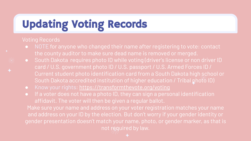## Updating Voting Records

#### Voting Records

- **●** NOTE for anyone who changed their name after registering to vote: contact the county auditor to make sure dead name is removed or merged.
- **●** South Dakota requires photo ID while voting (driver's license or non driver ID card / U.S. government photo ID / U.S. passport / U.S. Armed Forces ID / Current student photo identification card from a South Dakota high school or South Dakota accredited institution of higher education / Tribal photo ID)
- **●** Know your rights:<https://transformthevote.org/voting>
- **●** If a voter does not have a photo ID, they can sign a personal identification affidavit. The voter will then be given a regular ballot.

Make sure your name and address on your voter registration matches your name and address on your ID by the election. But don't worry if your gender identity or gender presentation doesn't match your name, photo, or gender marker, as that is not required by law.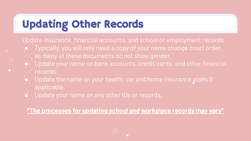## Updating Other Records

Update insurance, financial accounts, and school or employment records

- **●** Typically, you will only need a copy of your name change court order, as many of these documents do not show gender.
- **●** Update your name on bank accounts, credit cards, and other financial records.
- **●** Update the name on your health, car and home insurance plans if applicable.
- **●** Update your name on any other IDs or records.

**\*The processes for updating school and workplace records may vary\***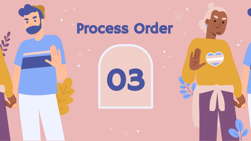## Process Order

 $\overline{111}$ 

03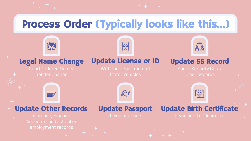## Process Order (Typically looks like this…)

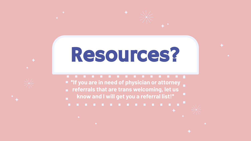## Resources?

**\*If you are in need of physician or attorney referrals that are trans welcoming, let us know and I will get you a referral list!\***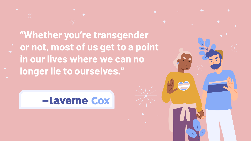**"Whether you're transgender or not, most of us get to a point in our lives where we can no longer lie to ourselves."**